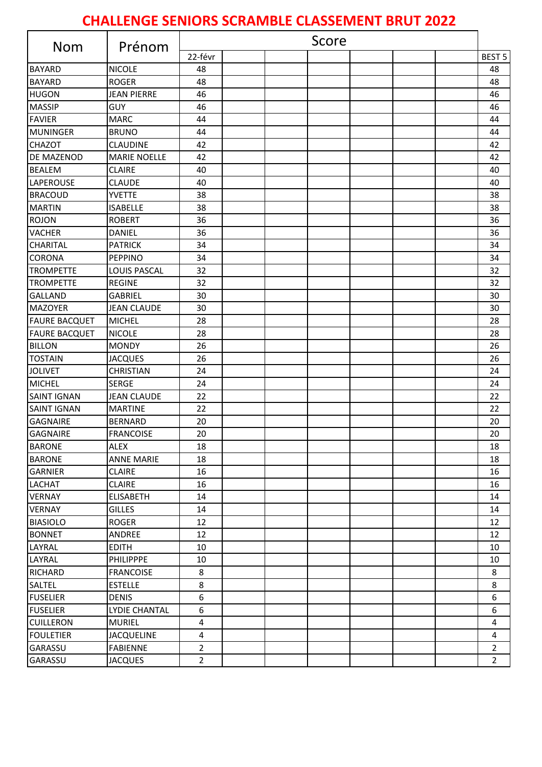## **CHALLENGE SENIORS SCRAMBLE CLASSEMENT BRUT 2022**

| <b>Nom</b>           | Prénom               | Score          |  |  |  |  |  |  |                |
|----------------------|----------------------|----------------|--|--|--|--|--|--|----------------|
|                      |                      | 22-févr        |  |  |  |  |  |  | <b>BEST 5</b>  |
| <b>BAYARD</b>        | <b>NICOLE</b>        | 48             |  |  |  |  |  |  | 48             |
| <b>BAYARD</b>        | <b>ROGER</b>         | 48             |  |  |  |  |  |  | 48             |
| <b>HUGON</b>         | <b>JEAN PIERRE</b>   | 46             |  |  |  |  |  |  | 46             |
| <b>MASSIP</b>        | GUY                  | 46             |  |  |  |  |  |  | 46             |
| <b>FAVIER</b>        | <b>MARC</b>          | 44             |  |  |  |  |  |  | 44             |
| <b>MUNINGER</b>      | <b>BRUNO</b>         | 44             |  |  |  |  |  |  | 44             |
| <b>CHAZOT</b>        | <b>CLAUDINE</b>      | 42             |  |  |  |  |  |  | 42             |
| DE MAZENOD           | <b>MARIE NOELLE</b>  | 42             |  |  |  |  |  |  | 42             |
| <b>BEALEM</b>        | <b>CLAIRE</b>        | 40             |  |  |  |  |  |  | 40             |
| LAPEROUSE            | <b>CLAUDE</b>        | 40             |  |  |  |  |  |  | 40             |
| <b>BRACOUD</b>       | <b>YVETTE</b>        | 38             |  |  |  |  |  |  | 38             |
| <b>MARTIN</b>        | <b>ISABELLE</b>      | 38             |  |  |  |  |  |  | 38             |
| <b>ROJON</b>         | <b>ROBERT</b>        | 36             |  |  |  |  |  |  | 36             |
| <b>VACHER</b>        | <b>DANIEL</b>        | 36             |  |  |  |  |  |  | 36             |
| <b>CHARITAL</b>      | <b>PATRICK</b>       | 34             |  |  |  |  |  |  | 34             |
| <b>CORONA</b>        | <b>PEPPINO</b>       | 34             |  |  |  |  |  |  | 34             |
| <b>TROMPETTE</b>     | <b>LOUIS PASCAL</b>  | 32             |  |  |  |  |  |  | 32             |
| <b>TROMPETTE</b>     | <b>REGINE</b>        | 32             |  |  |  |  |  |  | 32             |
| <b>GALLAND</b>       | <b>GABRIEL</b>       | 30             |  |  |  |  |  |  | 30             |
| <b>MAZOYER</b>       | <b>JEAN CLAUDE</b>   | 30             |  |  |  |  |  |  | 30             |
| <b>FAURE BACQUET</b> | <b>MICHEL</b>        | 28             |  |  |  |  |  |  | 28             |
| <b>FAURE BACQUET</b> | <b>NICOLE</b>        | 28             |  |  |  |  |  |  | 28             |
| <b>BILLON</b>        | <b>MONDY</b>         | 26             |  |  |  |  |  |  | 26             |
| <b>TOSTAIN</b>       | <b>JACQUES</b>       | 26             |  |  |  |  |  |  | 26             |
| <b>JOLIVET</b>       | <b>CHRISTIAN</b>     | 24             |  |  |  |  |  |  | 24             |
| <b>MICHEL</b>        | <b>SERGE</b>         | 24             |  |  |  |  |  |  | 24             |
| <b>SAINT IGNAN</b>   | <b>JEAN CLAUDE</b>   | 22             |  |  |  |  |  |  | 22             |
| <b>SAINT IGNAN</b>   | <b>MARTINE</b>       | 22             |  |  |  |  |  |  | 22             |
| <b>GAGNAIRE</b>      | <b>BERNARD</b>       | 20             |  |  |  |  |  |  | 20             |
| <b>GAGNAIRE</b>      | <b>FRANCOISE</b>     | 20             |  |  |  |  |  |  | 20             |
| <b>BARONE</b>        | <b>ALEX</b>          | 18             |  |  |  |  |  |  | 18             |
| <b>BARONE</b>        | <b>ANNE MARIE</b>    | 18             |  |  |  |  |  |  | 18             |
| <b>GARNIER</b>       | <b>CLAIRE</b>        | 16             |  |  |  |  |  |  | 16             |
| <b>LACHAT</b>        | <b>CLAIRE</b>        | 16             |  |  |  |  |  |  | 16             |
| <b>VERNAY</b>        | <b>ELISABETH</b>     | 14             |  |  |  |  |  |  | 14             |
| <b>VERNAY</b>        | <b>GILLES</b>        | 14             |  |  |  |  |  |  | 14             |
| <b>BIASIOLO</b>      | <b>ROGER</b>         | 12             |  |  |  |  |  |  | 12             |
| <b>BONNET</b>        | ANDREE               | 12             |  |  |  |  |  |  | 12             |
| LAYRAL               | <b>EDITH</b>         | 10             |  |  |  |  |  |  | 10             |
| LAYRAL               | <b>PHILIPPPE</b>     | 10             |  |  |  |  |  |  | 10             |
| <b>RICHARD</b>       | <b>FRANCOISE</b>     | 8              |  |  |  |  |  |  | 8              |
| SALTEL               | <b>ESTELLE</b>       | 8              |  |  |  |  |  |  | 8              |
| <b>FUSELIER</b>      | <b>DENIS</b>         | 6              |  |  |  |  |  |  | 6              |
| <b>FUSELIER</b>      | <b>LYDIE CHANTAL</b> | 6              |  |  |  |  |  |  | 6              |
| <b>CUILLERON</b>     | <b>MURIEL</b>        | $\overline{4}$ |  |  |  |  |  |  | 4              |
| <b>FOULETIER</b>     | <b>JACQUELINE</b>    | $\overline{4}$ |  |  |  |  |  |  | $\overline{4}$ |
| GARASSU              | <b>FABIENNE</b>      | $\overline{2}$ |  |  |  |  |  |  | $\overline{2}$ |
| GARASSU              | <b>JACQUES</b>       | $\overline{2}$ |  |  |  |  |  |  | $\overline{2}$ |